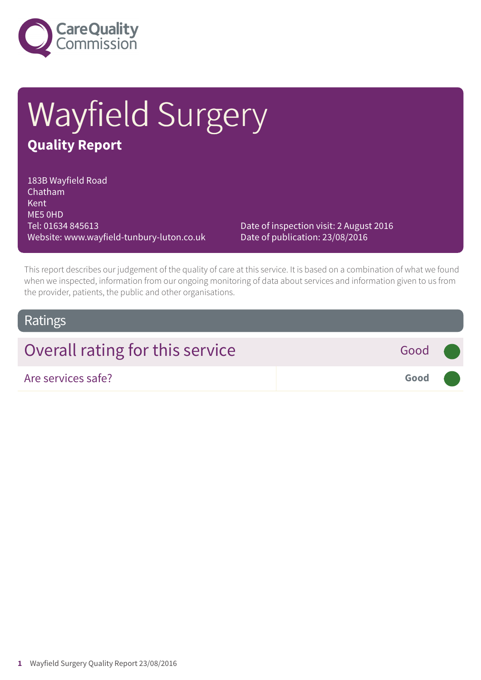

# Wayfield Surgery **Quality Report**

183B Wayfield Road Chatham Kent ME5 0HD Tel: 01634 845613 Website: www.wayfield-tunbury-luton.co.uk

Date of inspection visit: 2 August 2016 Date of publication: 23/08/2016

This report describes our judgement of the quality of care at this service. It is based on a combination of what we found when we inspected, information from our ongoing monitoring of data about services and information given to us from the provider, patients, the public and other organisations.

### Ratings

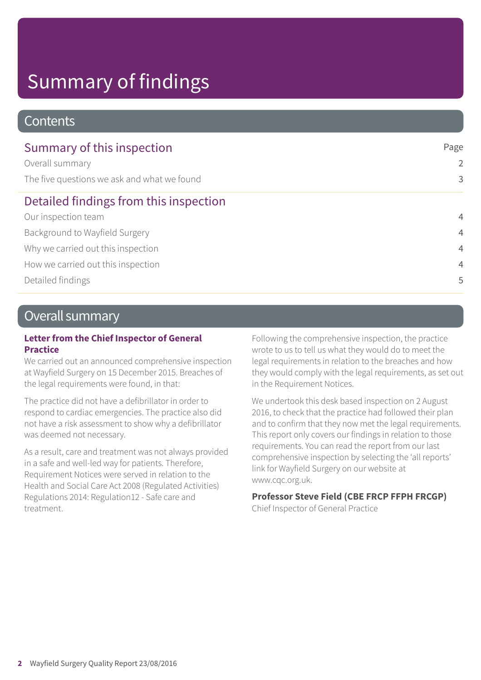# Summary of findings

### **Contents**

| Summary of this inspection                  | Page<br>2      |
|---------------------------------------------|----------------|
| Overall summary                             |                |
| The five questions we ask and what we found | 3              |
| Detailed findings from this inspection      |                |
| Our inspection team                         | $\overline{4}$ |
| Background to Wayfield Surgery              | $\overline{4}$ |
| Why we carried out this inspection          | $\overline{4}$ |
| How we carried out this inspection          | $\overline{4}$ |
| Detailed findings                           | 5              |

## Overall summary

### **Letter from the Chief Inspector of General Practice**

We carried out an announced comprehensive inspection at Wayfield Surgery on 15 December 2015. Breaches of the legal requirements were found, in that:

The practice did not have a defibrillator in order to respond to cardiac emergencies. The practice also did not have a risk assessment to show why a defibrillator was deemed not necessary.

As a result, care and treatment was not always provided in a safe and well-led way for patients. Therefore, Requirement Notices were served in relation to the Health and Social Care Act 2008 (Regulated Activities) Regulations 2014: Regulation12 - Safe care and treatment.

Following the comprehensive inspection, the practice wrote to us to tell us what they would do to meet the legal requirements in relation to the breaches and how they would comply with the legal requirements, as set out in the Requirement Notices.

We undertook this desk based inspection on 2 August 2016, to check that the practice had followed their plan and to confirm that they now met the legal requirements. This report only covers our findings in relation to those requirements. You can read the report from our last comprehensive inspection by selecting the 'all reports' link for Wayfield Surgery on our website at www.cqc.org.uk.

### **Professor Steve Field (CBE FRCP FFPH FRCGP)**

Chief Inspector of General Practice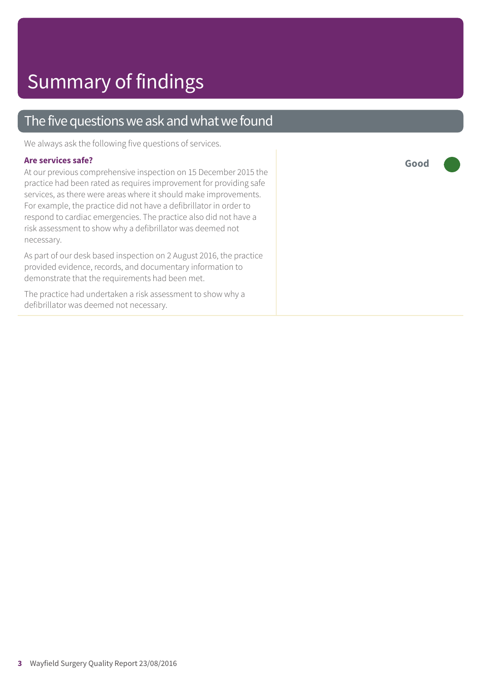## The five questions we ask and what we found

We always ask the following five questions of services.

#### **Are services safe?**

At our previous comprehensive inspection on 15 December 2015 the practice had been rated as requires improvement for providing safe services, as there were areas where it should make improvements. For example, the practice did not have a defibrillator in order to respond to cardiac emergencies. The practice also did not have a risk assessment to show why a defibrillator was deemed not necessary.

As part of our desk based inspection on 2 August 2016, the practice provided evidence, records, and documentary information to demonstrate that the requirements had been met.

The practice had undertaken a risk assessment to show why a defibrillator was deemed not necessary.

**Good –––**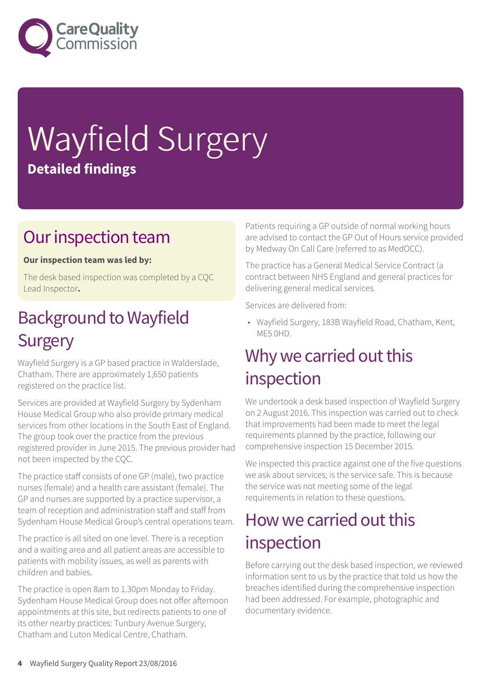

# Wayfield Surgery **Detailed findings**

## Our inspection team

### **Our inspection team was led by:**

The desk based inspection was completed by a CQC Lead Inspector**.**

## **Background to Wayfield Surgery**

Wayfield Surgery is a GP based practice in Walderslade, Chatham. There are approximately 1,650 patients registered on the practice list.

Services are provided at Wayfield Surgery by Sydenham House Medical Group who also provide primary medical services from other locations in the South East of England. The group took over the practice from the previous registered provider in June 2015. The previous provider had not been inspected by the CQC.

The practice staff consists of one GP (male), two practice nurses (female) and a health care assistant (female). The GP and nurses are supported by a practice supervisor, a team of reception and administration staff and staff from Sydenham House Medical Group's central operations team.

The practice is all sited on one level. There is a reception and a waiting area and all patient areas are accessible to patients with mobility issues, as well as parents with children and babies.

The practice is open 8am to 1.30pm Monday to Friday. Sydenham House Medical Group does not offer afternoon appointments at this site, but redirects patients to one of its other nearby practices: Tunbury Avenue Surgery, Chatham and Luton Medical Centre, Chatham.

Patients requiring a GP outside of normal working hours are advised to contact the GP Out of Hours service provided by Medway On Call Care (referred to as MedOCC).

The practice has a General Medical Service Contract (a contract between NHS England and general practices for delivering general medical services.

Services are delivered from:

• Wayfield Surgery, 183B Wayfield Road, Chatham, Kent, ME5 0HD.

## Why we carried out this inspection

We undertook a desk based inspection of Wayfield Surgery on 2 August 2016. This inspection was carried out to check that improvements had been made to meet the legal requirements planned by the practice, following our comprehensive inspection 15 December 2015.

We inspected this practice against one of the five questions we ask about services; is the service safe. This is because the service was not meeting some of the legal requirements in relation to these questions.

## How we carried out this inspection

Before carrying out the desk based inspection, we reviewed information sent to us by the practice that told us how the breaches identified during the comprehensive inspection had been addressed. For example, photographic and documentary evidence.